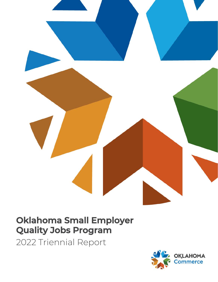

# **Oklahoma Small Employer Quality Jobs Program**

2022 Triennial Report

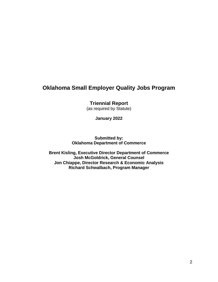# **Oklahoma Small Employer Quality Jobs Program**

**Triennial Report**

(as required by Statute)

**January 2022**

**Submitted by: Oklahoma Department of Commerce**

**Brent Kisling, Executive Director Department of Commerce Josh McGoldrick, General Counsel Jon Chiappe, Director Research & Economic Analysis Richard Schwalbach, Program Manager**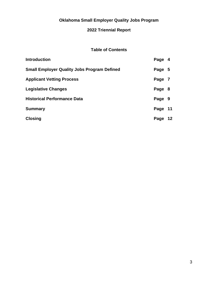# **Oklahoma Small Employer Quality Jobs Program**

## **2022 Triennial Report**

## **Table of Contents**

| <b>Introduction</b>                                | Page 4  |    |
|----------------------------------------------------|---------|----|
| <b>Small Employer Quality Jobs Program Defined</b> | Page 5  |    |
| <b>Applicant Vetting Process</b>                   | Page 7  |    |
| <b>Legislative Changes</b>                         | Page 8  |    |
| <b>Historical Performance Data</b>                 | Page 9  |    |
| <b>Summary</b>                                     | Page 11 |    |
| <b>Closing</b>                                     | Page    | 12 |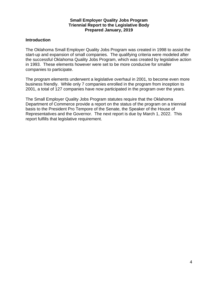#### **Small Employer Quality Jobs Program Triennial Report to the Legislative Body Prepared January, 2019**

#### **Introduction**

The Oklahoma Small Employer Quality Jobs Program was created in 1998 to assist the start-up and expansion of small companies. The qualifying criteria were modeled after the successful Oklahoma Quality Jobs Program, which was created by legislative action in 1993. These elements however were set to be more conducive for smaller companies to participate.

The program elements underwent a legislative overhaul in 2001, to become even more business friendly. While only 7 companies enrolled in the program from inception to 2001, a total of 127 companies have now participated in the program over the years.

The Small Employer Quality Jobs Program statutes require that the Oklahoma Department of Commerce provide a report on the status of the program on a triennial basis to the President Pro Tempore of the Senate, the Speaker of the House of Representatives and the Governor. The next report is due by March 1, 2022. This report fulfills that legislative requirement.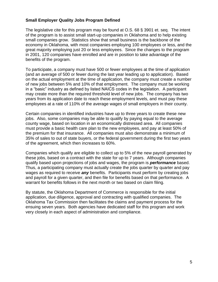#### **Small Employer Quality Jobs Program Defined**

The legislative cite for this program may be found at O.S. 68 § 3901 et. seq. The intent of the program is to assist small start-up companies in Oklahoma and to help existing small companies grow. Statistics show that small business is the backbone of the economy in Oklahoma, with most companies employing 100 employees or less, and the great majority employing just 20 or less employees. Since the changes to the program in 2001, 120 companies have enrolled and are in position to take advantage of the benefits of the program.

To participate, a company must have 500 or fewer employees at the time of application (and an average of 500 or fewer during the last year leading up to application). Based on the actual employment at the time of application, the company must create a number of new jobs between 5% and 10% of that employment. The company must be working in a "basic" industry as defined by listed NAICS codes in the legislation. A participant may create more than the required threshold level of new jobs. The company has two years from its application date to reach these employment levels, and must pay these employees at a rate of 110% of the average wages of small employers in their county.

Certain companies in identified industries have up to three years to create these new jobs. Also, some companies may be able to qualify by paying equal to the average county wage, based on location in an economically distressed area. All companies must provide a basic health care plan to the new employees, and pay at least 50% of the premium for that insurance. All companies must also demonstrate a minimum of 35% of sales to out of state buyers, or the federal government during the first two years of the agreement, which then increases to 60%.

Companies which qualify are eligible to collect up to 5% of the new payroll generated by these jobs, based on a contract with the state for up to 7 years. Although companies qualify based upon projections of jobs and wages, the program is *performance* based. Thus, a participating company must actually create the jobs quarter by quarter and pay wages as required to receive *any* benefits. Participants must perform by creating jobs and payroll for a given quarter, and then file for benefits based on that performance. A warrant for benefits follows in the next month or two based on claim filing.

By statute, the Oklahoma Department of Commerce is responsible for the initial application, due diligence, approval and contracting with qualified companies. The Oklahoma Tax Commission then facilitates the claims and payment process for the ensuing seven years. Both agencies have dedicated staff for this program and work very closely in each aspect of administration and compliance.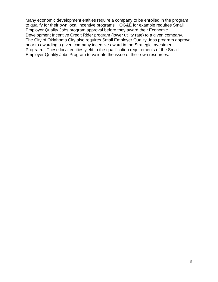Many economic development entities require a company to be enrolled in the program to qualify for their own local incentive programs. OG&E for example requires Small Employer Quality Jobs program approval before they award their Economic Development Incentive Credit Rider program (lower utility rate) to a given company. The City of Oklahoma City also requires Small Employer Quality Jobs program approval prior to awarding a given company incentive award in the Strategic Investment Program. These local entities yield to the qualification requirements of the Small Employer Quality Jobs Program to validate the issue of their own resources.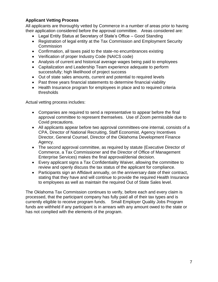## **Applicant Vetting Process**

All applicants are thoroughly vetted by Commerce in a number of areas prior to having their application considered before the approval committee. Areas considered are:

- Legal Entity Status at Secretary of State's Office Good Standing
- Registration of legal entity at the Tax Commission and Employment Security **Commission**
- Confirmation, all taxes paid to the state-no encumbrances existing
- Verification of proper Industry Code (NAICS code)
- Analysis of current and historical average wages being paid to employees
- Capitalization and Leadership Team experience adequate to perform successfully; high likelihood of project success
- Out of state sales amounts, current and potential to required levels
- Past three years financial statements to determine financial viability
- Health Insurance program for employees in place and to required criteria thresholds

Actual vetting process includes:

- Companies are required to send a representative to appear before the final approval committee to represent themselves. Use of Zoom permissible due to Covid precautions.
- All applicants appear before two approval committees-one internal, consists of a CPA, Director of National Recruiting, Staff Economist, Agency Incentives Director, General Counsel, Director of the Oklahoma Development Finance Agency.
- The second approval committee, as required by statute (Executive Director of Commerce, a Tax Commissioner and the Director of Office of Management Enterprise Services) makes the final approval/denial decision.
- Every applicant signs a Tax Confidentiality Waiver, allowing the committee to review and openly discuss the tax status of the applicant for compliance.
- Participants sign an Affidavit annually, on the anniversary date of their contract, stating that they have and will continue to provide the required Health Insurance to employees as well as maintain the required Out of State Sales level.

The Oklahoma Tax Commission continues to verify, before each and every claim is processed, that the participant company has fully paid all of their tax types and is currently eligible to receive program funds. Small Employer Quality Jobs Program funds are withheld if any participant is in arrears with any amount owed to the state or has not complied with the elements of the program.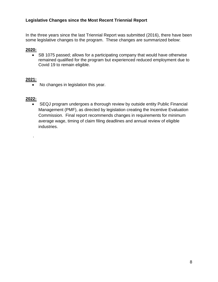#### **Legislative Changes since the Most Recent Triennial Report**

In the three years since the last Triennial Report was submitted (2016), there have been some legislative changes to the program. These changes are summarized below:

#### **2020:**

• SB 1075 passed; allows for a participating company that would have otherwise remained qualified for the program but experienced reduced employment due to Covid 19 to remain eligible.

#### **2021:**

• No changes in legislation this year.

#### **2022:**

.

• SEQJ program undergoes a thorough review by outside entity Public Financial Management (PMF), as directed by legislation creating the Incentive Evaluation Commission. Final report recommends changes in requirements for minimum average wage, timing of claim filing deadlines and annual review of eligible industries.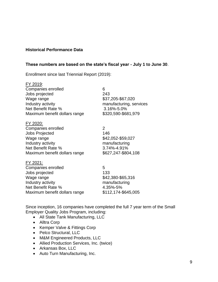#### **Historical Performance Data**

#### **These numbers are based on the state's fiscal year - July 1 to June 30**.

Enrollment since last Triennial Report (2019):

| FY 2019:<br>Companies enrolled<br>Jobs projected<br>Wage range<br>Industry activity<br>Net Benefit Rate %<br>Maximum benefit dollars range               | 6<br>243<br>\$37,205-\$67,020<br>manufacturing, services<br>3.16%-5.0%<br>\$320,590-\$681,979     |
|----------------------------------------------------------------------------------------------------------------------------------------------------------|---------------------------------------------------------------------------------------------------|
| <u>FY 2020:</u><br>Companies enrolled<br><b>Jobs Projected</b><br>Wage range<br>Industry activity<br>Net Benefit Rate %<br>Maximum benefit dollars range | $\overline{2}$<br>146<br>\$42,052-\$59,027<br>manufacturing<br>3.74%-4.91%<br>\$627,247-\$804,108 |
| <u>FY 2021:</u><br>Companies enrolled<br>Jobs projected<br>Wage range<br>Industry activity<br>Net Benefit Rate %<br>Maximum benefit dollars range        | 5<br>133<br>\$42,380-\$65,316<br>manufacturing<br>4.35%-5%<br>\$112,174-\$645,005                 |

Since inception, 16 companies have completed the full 7 year term of the Small Employer Quality Jobs Program, including:

- All State Tank Manufacturing, LLC
- Alltra Corp
- Kemper Valve & Fittings Corp
- Pelco Structural, LLC
- M&M Engineered Products, LLC
- Allied Production Services, Inc. (twice)
- Arkansas Box, LLC
- Auto Turn Manufacturing, Inc.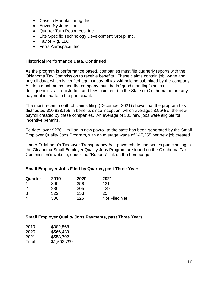- Caseco Manufacturing, Inc.
- Enviro Systems, Inc.
- Quarter Turn Resources, Inc.
- Site Specific Technology Development Group, Inc.
- Taylor Rig, LLC
- Ferra Aerospace, Inc.

#### **Historical Performance Data, Continued**

As the program is performance based, companies must file quarterly reports with the Oklahoma Tax Commission to receive benefits. These claims contain job, wage and payroll data, which is verified against payroll tax withholding submitted by the company. All data must match, and the company must be in "good standing" (no tax delinquencies, all registration and fees paid, etc.) in the State of Oklahoma before any payment is made to the participant.

The most recent month of claims filing (December 2021) shows that the program has distributed \$10,928,159 in benefits since inception, which averages 3.95% of the new payroll created by these companies. An average of 301 new jobs were eligible for incentive benefits.

To date, over \$276.1 million in new payroll to the state has been generated by the Small Employer Quality Jobs Program, with an average wage of \$47,255 per new job created.

Under Oklahoma's Taxpayer Transparency Act, payments to companies participating in the Oklahoma Small Employer Quality Jobs Program are found on the Oklahoma Tax Commission's website, under the "Reports" link on the homepage.

#### **Small Employer Jobs Filed by Quarter, past Three Years**

| Quarter        | 2019 | 2020 | 2021          |
|----------------|------|------|---------------|
|                | 300  | 358  | 131           |
| $\overline{2}$ | 286  | 305  | 139           |
| 3              | 322  | 253  | 25            |
| 4              | 300  | 225  | Not Filed Yet |

#### **Small Employer Quality Jobs Payments, past Three Years**

| 2019  | \$382,568   |
|-------|-------------|
| 2020  | \$566,439   |
| 2021  | \$553,792   |
| Total | \$1,502,799 |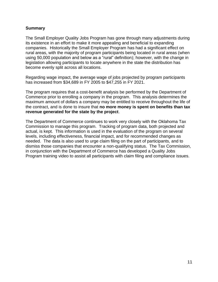#### **Summary**

The Small Employer Quality Jobs Program has gone through many adjustments during its existence in an effort to make it more appealing and beneficial to expanding companies. Historically the Small Employer Program has had a significant effect on rural areas, with the majority of program participants being located in rural areas (when using 50,000 population and below as a "rural" definition); however, with the change in legislation allowing participants to locate anywhere in the state the distribution has become evenly split across all locations.

Regarding wage impact, the average wage of jobs projected by program participants has increased from \$34,689 in FY 2005 to \$47,255 in FY 2021.

The program requires that a cost-benefit analysis be performed by the Department of Commerce prior to enrolling a company in the program. This analysis determines the maximum amount of dollars a company may be entitled to receive throughout the life of the contract, and is done to insure that **no more money is spent on benefits than tax revenue generated for the state by the project**.

The Department of Commerce continues to work very closely with the Oklahoma Tax Commission to manage this program. Tracking of program data, both projected and actual, is kept. This information is used in the evaluation of the program on several levels, including effectiveness, financial impact, and for recommended changes as needed. The data is also used to urge claim filing on the part of participants, and to dismiss those companies that encounter a non-qualifying status. The Tax Commission, in conjunction with the Department of Commerce has developed a Quality Jobs Program training video to assist all participants with claim filing and compliance issues.